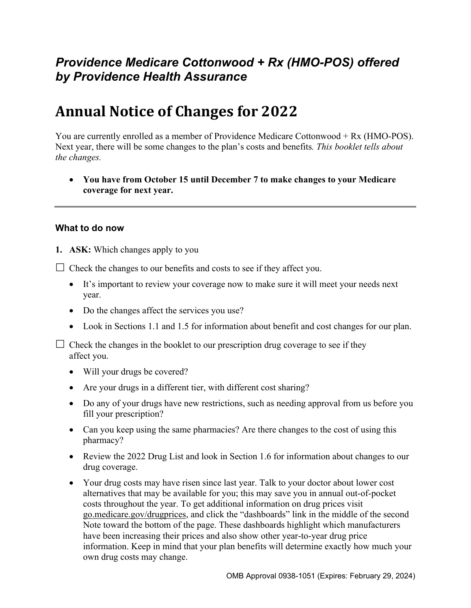# *Providence Medicare Cottonwood + Rx (HMO-POS) offered by Providence Health Assurance*

# **Annual Notice of Changes for 2022**

You are currently enrolled as a member of Providence Medicare Cottonwood + Rx (HMO-POS). Next year, there will be some changes to the plan's costs and benefits*. This booklet tells about the changes.* 

 **You have from October 15 until December 7 to make changes to your Medicare coverage for next year.**

#### **What to do now**

**1. ASK:** Which changes apply to you

 $\Box$  Check the changes to our benefits and costs to see if they affect you.

- It's important to review your coverage now to make sure it will meet your needs next year.
- Do the changes affect the services you use?
- Look in Sections 1.1 and 1.5 for information about benefit and cost changes for our plan.

 $\Box$  Check the changes in the booklet to our prescription drug coverage to see if they affect you.

- Will your drugs be covered?
- Are your drugs in a different tier, with different cost sharing?
- Do any of your drugs have new restrictions, such as needing approval from us before you fill your prescription?
- Can you keep using the same pharmacies? Are there changes to the cost of using this pharmacy?
- Review the 2022 Drug List and look in Section 1.6 for information about changes to our drug coverage.
- Your drug costs may have risen since last year. Talk to your doctor about lower cost alternatives that may be available for you; this may save you in annual out-of-pocket costs throughout the year. To get additional information on drug prices visit [go.medicare.gov/drugprices,](https://go.medicare.gov/drugprices) and click the "dashboards" link in the middle of the second Note toward the bottom of the page. These dashboards highlight which manufacturers have been increasing their prices and also show other year-to-year drug price information. Keep in mind that your plan benefits will determine exactly how much your own drug costs may change.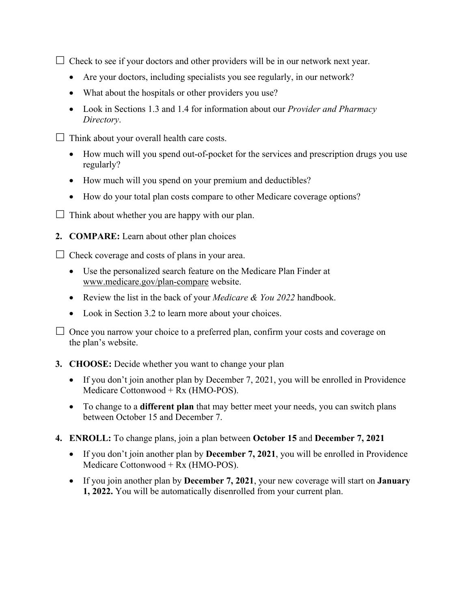$\Box$  Check to see if your doctors and other providers will be in our network next year.

- Are your doctors, including specialists you see regularly, in our network?
- What about the hospitals or other providers you use?
- Look in Sections 1.3 and 1.4 for information about our *Provider and Pharmacy Directory*.
- $\Box$  Think about your overall health care costs.
	- How much will you spend out-of-pocket for the services and prescription drugs you use regularly?
	- How much will you spend on your premium and deductibles?
	- How do your total plan costs compare to other Medicare coverage options?
- $\Box$  Think about whether you are happy with our plan.
- **2. COMPARE:** Learn about other plan choices

 $\Box$  Check coverage and costs of plans in your area.

- Use the personalized search feature on the Medicare Plan Finder at [www.medicare.gov/plan-compare](http://www.medicare.gov/plan-compare) website.
- Review the list in the back of your *Medicare & You 2022* handbook.
- Look in Section 3.2 to learn more about your choices.

 $\Box$  Once you narrow your choice to a preferred plan, confirm your costs and coverage on the plan's website.

- **3. CHOOSE:** Decide whether you want to change your plan
	- If you don't join another plan by December 7, 2021, you will be enrolled in Providence Medicare Cottonwood + Rx (HMO-POS).
	- To change to a **different plan** that may better meet your needs, you can switch plans between October 15 and December 7.
- **4. ENROLL:** To change plans, join a plan between **October 15** and **December 7, 2021**
	- If you don't join another plan by **December 7, 2021**, you will be enrolled in Providence Medicare Cottonwood + Rx (HMO-POS).
	- If you join another plan by **December 7, 2021**, your new coverage will start on **January 1, 2022.** You will be automatically disenrolled from your current plan.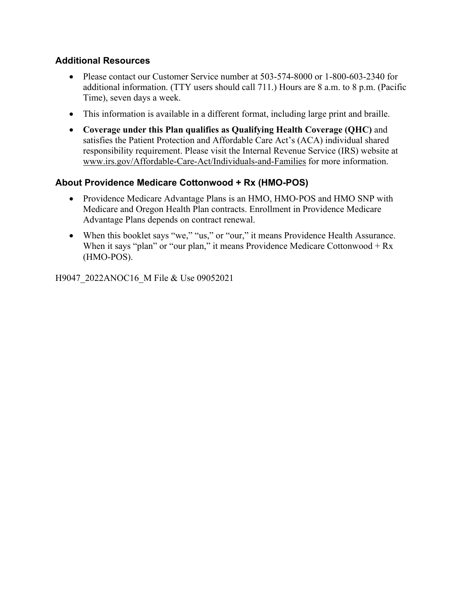### **Additional Resources**

- Please contact our Customer Service number at 503-574-8000 or 1-800-603-2340 for additional information. (TTY users should call 711.) Hours are 8 a.m. to 8 p.m. (Pacific Time), seven days a week.
- This information is available in a different format, including large print and braille.
- **Coverage under this Plan qualifies as Qualifying Health Coverage (QHC)** and satisfies the Patient Protection and Affordable Care Act's (ACA) individual shared responsibility requirement. Please visit the Internal Revenue Service (IRS) website at [www.irs.gov/Affordable-Care-Act/Individuals-and-Families](http://www.irs.gov/Affordable-Care-Act/Individuals-and-Families) for more information.

### **About Providence Medicare Cottonwood + Rx (HMO-POS)**

- Providence Medicare Advantage Plans is an HMO, HMO-POS and HMO SNP with Medicare and Oregon Health Plan contracts. Enrollment in Providence Medicare Advantage Plans depends on contract renewal.
- When this booklet says "we," "us," or "our," it means Providence Health Assurance. When it says "plan" or "our plan," it means Providence Medicare Cottonwood  $+ Rx$ (HMO-POS).

H9047\_2022ANOC16\_M File & Use 09052021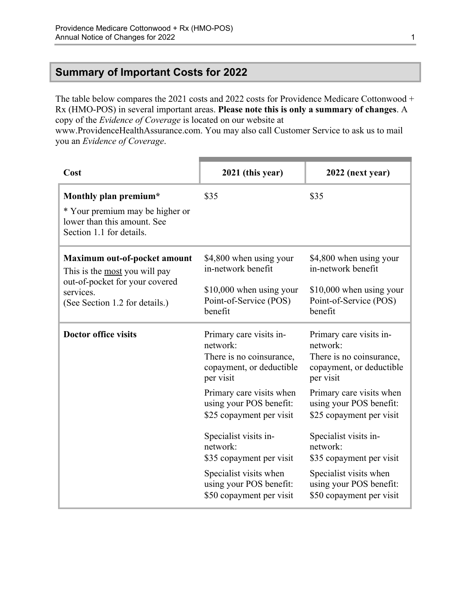### <span id="page-3-0"></span>**Summary of Important Costs for 2022**

The table below compares the 2021 costs and 2022 costs for Providence Medicare Cottonwood + Rx (HMO-POS) in several important areas. **Please note this is only a summary of changes**. A copy of the *Evidence of Coverage* is located on our website at

[www.ProvidenceHealthAssurance.com.](http://www.ProvidenceHealthAssurance.com) You may also call Customer Service to ask us to mail you an *Evidence of Coverage*.

| Cost                                                                                       | 2021 (this year)                                                                                         | 2022 (next year)                                                                                         |
|--------------------------------------------------------------------------------------------|----------------------------------------------------------------------------------------------------------|----------------------------------------------------------------------------------------------------------|
| Monthly plan premium*                                                                      | \$35                                                                                                     | \$35                                                                                                     |
| * Your premium may be higher or<br>lower than this amount. See<br>Section 1.1 for details. |                                                                                                          |                                                                                                          |
| Maximum out-of-pocket amount<br>This is the most you will pay                              | \$4,800 when using your<br>in-network benefit                                                            | \$4,800 when using your<br>in-network benefit                                                            |
| out-of-pocket for your covered<br>services.<br>(See Section 1.2 for details.)              | $$10,000$ when using your<br>Point-of-Service (POS)<br>benefit                                           | \$10,000 when using your<br>Point-of-Service (POS)<br>benefit                                            |
| <b>Doctor office visits</b>                                                                | Primary care visits in-<br>network:<br>There is no coinsurance,<br>copayment, or deductible<br>per visit | Primary care visits in-<br>network:<br>There is no coinsurance,<br>copayment, or deductible<br>per visit |
|                                                                                            | Primary care visits when<br>using your POS benefit:<br>\$25 copayment per visit                          | Primary care visits when<br>using your POS benefit:<br>\$25 copayment per visit                          |
|                                                                                            | Specialist visits in-<br>network:<br>\$35 copayment per visit                                            | Specialist visits in-<br>network:<br>\$35 copayment per visit                                            |
|                                                                                            | Specialist visits when<br>using your POS benefit:<br>\$50 copayment per visit                            | Specialist visits when<br>using your POS benefit:<br>\$50 copayment per visit                            |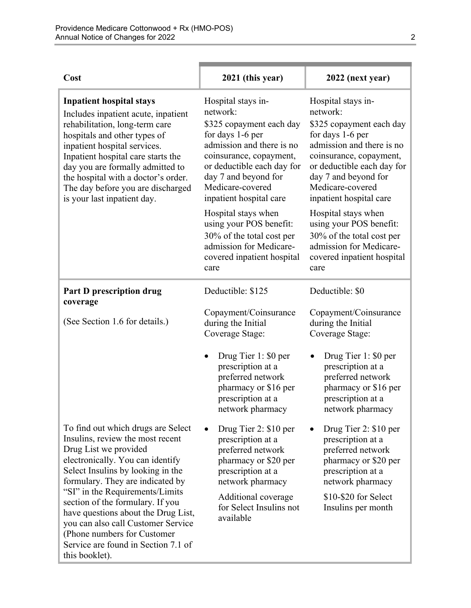| Cost                                                                                                                                                                                                                                                                                                                                                                                                                                                      | 2021 (this year)                                                                                                                                                                                                                            | 2022 (next year)                                                                                                                                                                                                                            |
|-----------------------------------------------------------------------------------------------------------------------------------------------------------------------------------------------------------------------------------------------------------------------------------------------------------------------------------------------------------------------------------------------------------------------------------------------------------|---------------------------------------------------------------------------------------------------------------------------------------------------------------------------------------------------------------------------------------------|---------------------------------------------------------------------------------------------------------------------------------------------------------------------------------------------------------------------------------------------|
| <b>Inpatient hospital stays</b><br>Includes inpatient acute, inpatient<br>rehabilitation, long-term care<br>hospitals and other types of<br>inpatient hospital services.<br>Inpatient hospital care starts the<br>day you are formally admitted to<br>the hospital with a doctor's order.<br>The day before you are discharged<br>is your last inpatient day.                                                                                             | Hospital stays in-<br>network:<br>\$325 copayment each day<br>for days 1-6 per<br>admission and there is no<br>coinsurance, copayment,<br>or deductible each day for<br>day 7 and beyond for<br>Medicare-covered<br>inpatient hospital care | Hospital stays in-<br>network:<br>\$325 copayment each day<br>for days 1-6 per<br>admission and there is no<br>coinsurance, copayment,<br>or deductible each day for<br>day 7 and beyond for<br>Medicare-covered<br>inpatient hospital care |
|                                                                                                                                                                                                                                                                                                                                                                                                                                                           | Hospital stays when<br>using your POS benefit:<br>30% of the total cost per<br>admission for Medicare-<br>covered inpatient hospital<br>care                                                                                                | Hospital stays when<br>using your POS benefit:<br>30% of the total cost per<br>admission for Medicare-<br>covered inpatient hospital<br>care                                                                                                |
| <b>Part D prescription drug</b><br>coverage                                                                                                                                                                                                                                                                                                                                                                                                               | Deductible: \$125                                                                                                                                                                                                                           | Deductible: \$0                                                                                                                                                                                                                             |
| (See Section 1.6 for details.)                                                                                                                                                                                                                                                                                                                                                                                                                            | Copayment/Coinsurance<br>during the Initial<br>Coverage Stage:                                                                                                                                                                              | Copayment/Coinsurance<br>during the Initial<br>Coverage Stage:                                                                                                                                                                              |
|                                                                                                                                                                                                                                                                                                                                                                                                                                                           | Drug Tier 1: \$0 per<br>$\bullet$<br>prescription at a<br>preferred network<br>pharmacy or \$16 per<br>prescription at a<br>network pharmacy                                                                                                | Drug Tier 1: \$0 per<br>prescription at a<br>preferred network<br>pharmacy or \$16 per<br>prescription at a<br>network pharmacy                                                                                                             |
| To find out which drugs are Select<br>Insulins, review the most recent<br>Drug List we provided<br>electronically. You can identify<br>Select Insulins by looking in the<br>formulary. They are indicated by<br>"SI" in the Requirements/Limits<br>section of the formulary. If you<br>have questions about the Drug List,<br>you can also call Customer Service<br>(Phone numbers for Customer)<br>Service are found in Section 7.1 of<br>this booklet). | Drug Tier 2: \$10 per<br>prescription at a<br>preferred network<br>pharmacy or \$20 per<br>prescription at a<br>network pharmacy                                                                                                            | Drug Tier 2: \$10 per<br>prescription at a<br>preferred network<br>pharmacy or \$20 per<br>prescription at a<br>network pharmacy                                                                                                            |
|                                                                                                                                                                                                                                                                                                                                                                                                                                                           | Additional coverage<br>for Select Insulins not<br>available                                                                                                                                                                                 | \$10-\$20 for Select<br>Insulins per month                                                                                                                                                                                                  |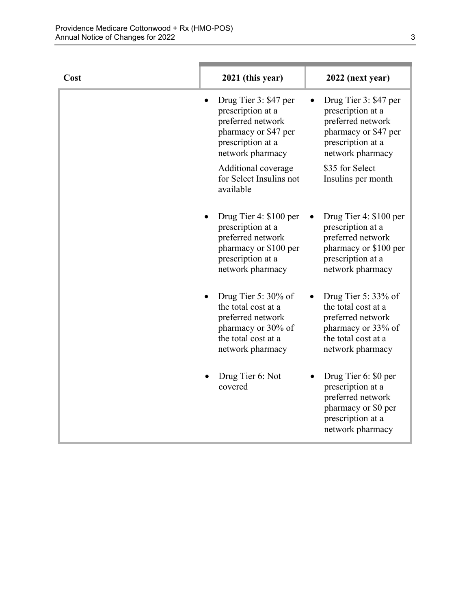| Cost | 2021 (this year)                                                                                                                    | 2022 (next year)                                                                                                                    |
|------|-------------------------------------------------------------------------------------------------------------------------------------|-------------------------------------------------------------------------------------------------------------------------------------|
|      | Drug Tier 3: \$47 per<br>prescription at a<br>preferred network<br>pharmacy or \$47 per<br>prescription at a<br>network pharmacy    | Drug Tier 3: \$47 per<br>prescription at a<br>preferred network<br>pharmacy or \$47 per<br>prescription at a<br>network pharmacy    |
|      | Additional coverage<br>for Select Insulins not<br>available                                                                         | \$35 for Select<br>Insulins per month                                                                                               |
|      | Drug Tier 4: \$100 per<br>prescription at a<br>preferred network<br>pharmacy or \$100 per<br>prescription at a<br>network pharmacy  | Drug Tier 4: \$100 per<br>prescription at a<br>preferred network<br>pharmacy or \$100 per<br>prescription at a<br>network pharmacy  |
|      | Drug Tier 5: $30\%$ of<br>the total cost at a<br>preferred network<br>pharmacy or 30% of<br>the total cost at a<br>network pharmacy | Drug Tier 5: $33\%$ of<br>the total cost at a<br>preferred network<br>pharmacy or 33% of<br>the total cost at a<br>network pharmacy |
|      | Drug Tier 6: Not<br>covered                                                                                                         | Drug Tier 6: \$0 per<br>prescription at a<br>preferred network<br>pharmacy or \$0 per<br>prescription at a<br>network pharmacy      |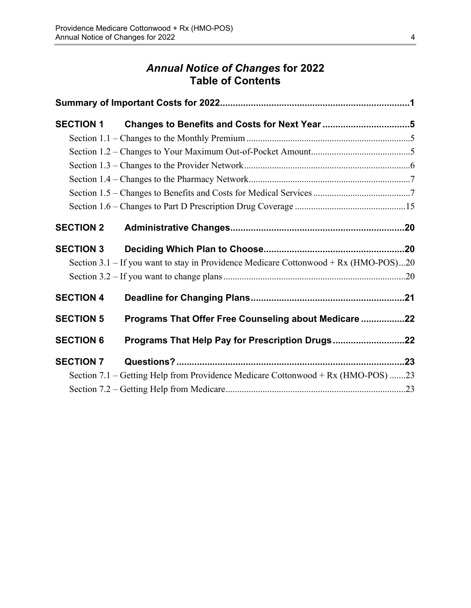# *Annual Notice of Changes* **for 2022 Table of Contents**

| <b>SECTION 1</b> |                                                                                      |  |
|------------------|--------------------------------------------------------------------------------------|--|
|                  |                                                                                      |  |
|                  |                                                                                      |  |
|                  |                                                                                      |  |
|                  |                                                                                      |  |
|                  |                                                                                      |  |
|                  |                                                                                      |  |
| <b>SECTION 2</b> |                                                                                      |  |
| <b>SECTION 3</b> |                                                                                      |  |
|                  | Section 3.1 – If you want to stay in Providence Medicare Cottonwood + Rx (HMO-POS)20 |  |
|                  |                                                                                      |  |
| <b>SECTION 4</b> |                                                                                      |  |
| <b>SECTION 5</b> | Programs That Offer Free Counseling about Medicare 22                                |  |
| <b>SECTION 6</b> | Programs That Help Pay for Prescription Drugs22                                      |  |
| <b>SECTION 7</b> |                                                                                      |  |
|                  | Section 7.1 – Getting Help from Providence Medicare Cottonwood + Rx (HMO-POS) 23     |  |
|                  |                                                                                      |  |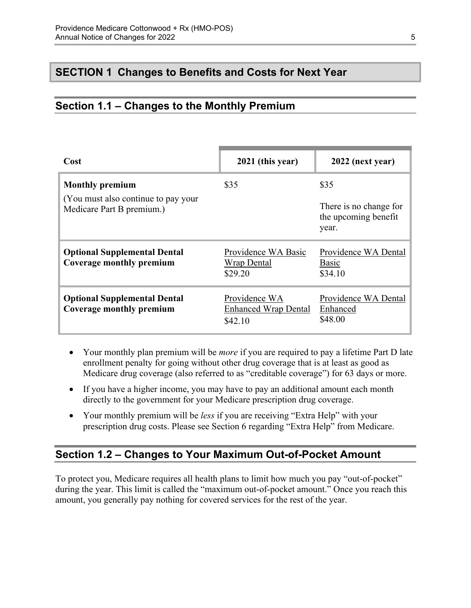# <span id="page-7-0"></span>**SECTION 1 Changes to Benefits and Costs for Next Year**

# <span id="page-7-1"></span>**Section 1.1 – Changes to the Monthly Premium**

| Cost                                                                                        | 2021 (this year)                                        | 2022 (next year)                                                |
|---------------------------------------------------------------------------------------------|---------------------------------------------------------|-----------------------------------------------------------------|
| <b>Monthly premium</b><br>(You must also continue to pay your)<br>Medicare Part B premium.) | \$35                                                    | \$35<br>There is no change for<br>the upcoming benefit<br>year. |
| <b>Optional Supplemental Dental</b><br>Coverage monthly premium                             | Providence WA Basic<br><b>Wrap Dental</b><br>\$29.20    | Providence WA Dental<br>Basic<br>\$34.10                        |
| <b>Optional Supplemental Dental</b><br>Coverage monthly premium                             | Providence WA<br><b>Enhanced Wrap Dental</b><br>\$42.10 | Providence WA Dental<br>Enhanced<br>\$48.00                     |

- Your monthly plan premium will be *more* if you are required to pay a lifetime Part D late enrollment penalty for going without other drug coverage that is at least as good as Medicare drug coverage (also referred to as "creditable coverage") for 63 days or more.
- If you have a higher income, you may have to pay an additional amount each month directly to the government for your Medicare prescription drug coverage.
- Your monthly premium will be *less* if you are receiving "Extra Help" with your prescription drug costs. Please see Section 6 regarding "Extra Help" from Medicare.

### <span id="page-7-2"></span>**Section 1.2 – Changes to Your Maximum Out-of-Pocket Amount**

 amount, you generally pay nothing for covered services for the rest of the year. To protect you, Medicare requires all health plans to limit how much you pay "out-of-pocket" during the year. This limit is called the "maximum out-of-pocket amount." Once you reach this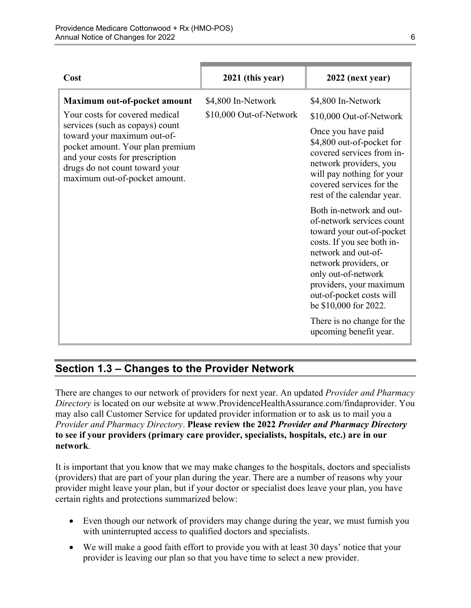| Cost                                                                                                                                                                                                                                                                       | 2021 (this year)                              | 2022 (next year)                                                                                                                                                                                                                                                                                                                |
|----------------------------------------------------------------------------------------------------------------------------------------------------------------------------------------------------------------------------------------------------------------------------|-----------------------------------------------|---------------------------------------------------------------------------------------------------------------------------------------------------------------------------------------------------------------------------------------------------------------------------------------------------------------------------------|
| Maximum out-of-pocket amount<br>Your costs for covered medical<br>services (such as copays) count<br>toward your maximum out-of-<br>pocket amount. Your plan premium<br>and your costs for prescription<br>drugs do not count toward your<br>maximum out-of-pocket amount. | \$4,800 In-Network<br>\$10,000 Out-of-Network | \$4,800 In-Network<br>\$10,000 Out-of-Network<br>Once you have paid<br>\$4,800 out-of-pocket for<br>covered services from in-<br>network providers, you<br>will pay nothing for your<br>covered services for the<br>rest of the calendar year.                                                                                  |
|                                                                                                                                                                                                                                                                            |                                               | Both in-network and out-<br>of-network services count<br>toward your out-of-pocket<br>costs. If you see both in-<br>network and out-of-<br>network providers, or<br>only out-of-network<br>providers, your maximum<br>out-of-pocket costs will<br>be \$10,000 for 2022.<br>There is no change for the<br>upcoming benefit year. |

# <span id="page-8-0"></span>**Section 1.3 – Changes to the Provider Network**

 **to see if your providers (primary care provider, specialists, hospitals, etc.) are in our**  There are changes to our network of providers for next year. An updated *Provider and Pharmacy Directory* is located on our website at [www.ProvidenceHealthAssurance.com/findaprovider.](http://www.ProvidenceHealthAssurance.com/findaprovider) You may also call Customer Service for updated provider information or to ask us to mail you a *Provider and Pharmacy Directory*. **Please review the 2022** *Provider and Pharmacy Directory*  **network**.

It is important that you know that we may make changes to the hospitals, doctors and specialists (providers) that are part of your plan during the year. There are a number of reasons why your provider might leave your plan, but if your doctor or specialist does leave your plan, you have certain rights and protections summarized below:

- Even though our network of providers may change during the year, we must furnish you with uninterrupted access to qualified doctors and specialists.
- We will make a good faith effort to provide you with at least 30 days' notice that your provider is leaving our plan so that you have time to select a new provider.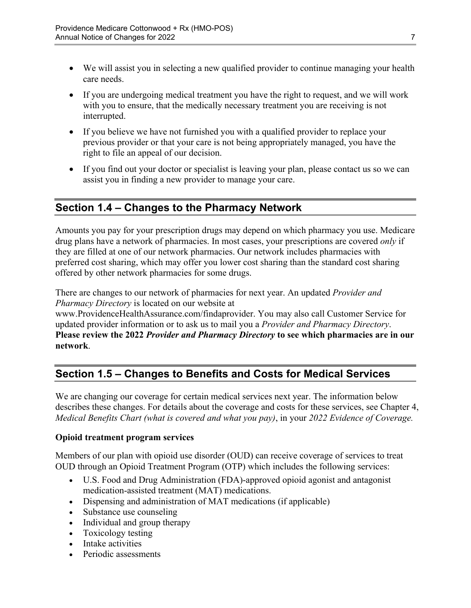- We will assist you in selecting a new qualified provider to continue managing your health care needs.
- If you are undergoing medical treatment you have the right to request, and we will work with you to ensure, that the medically necessary treatment you are receiving is not interrupted.
- If you believe we have not furnished you with a qualified provider to replace your previous provider or that your care is not being appropriately managed, you have the right to file an appeal of our decision.
- If you find out your doctor or specialist is leaving your plan, please contact us so we can assist you in finding a new provider to manage your care.

# <span id="page-9-0"></span>**Section 1.4 – Changes to the Pharmacy Network**

Amounts you pay for your prescription drugs may depend on which pharmacy you use. Medicare drug plans have a network of pharmacies. In most cases, your prescriptions are covered *only* if they are filled at one of our network pharmacies. Our network includes pharmacies with preferred cost sharing, which may offer you lower cost sharing than the standard cost sharing offered by other network pharmacies for some drugs.

There are changes to our network of pharmacies for next year. An updated *Provider and Pharmacy Directory* is located on our website at

[www.ProvidenceHealthAssurance.com/findaprovider](http://www.ProvidenceHealthAssurance.com/findaprovider). You may also call Customer Service for updated provider information or to ask us to mail you a *Provider and Pharmacy Directory*. **Please review the 2022** *Provider and Pharmacy Directory* **to see which pharmacies are in our network**.

# <span id="page-9-1"></span>**Section 1.5 – Changes to Benefits and Costs for Medical Services**

We are changing our coverage for certain medical services next year. The information below describes these changes. For details about the coverage and costs for these services, see Chapter 4, *Medical Benefits Chart (what is covered and what you pay)*, in your *2022 Evidence of Coverage.* 

#### **Opioid treatment program services**

Members of our plan with opioid use disorder (OUD) can receive coverage of services to treat OUD through an Opioid Treatment Program (OTP) which includes the following services:

- U.S. Food and Drug Administration (FDA)-approved opioid agonist and antagonist medication-assisted treatment (MAT) medications.
- Dispensing and administration of MAT medications (if applicable)
- Substance use counseling
- Individual and group therapy
- Toxicology testing
- Intake activities
- Periodic assessments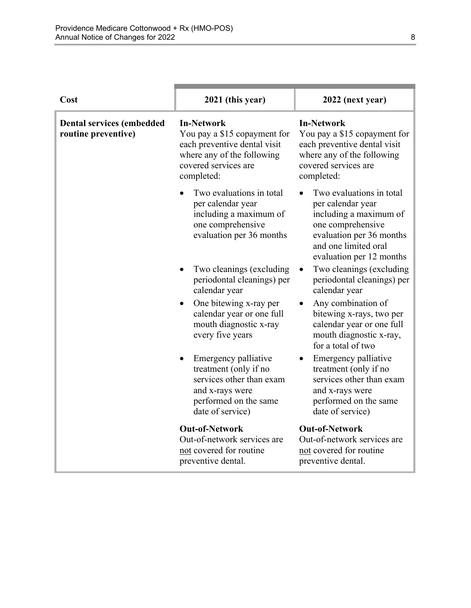| Cost                                                    | 2021 (this year)                                                                                                                                      | 2022 (next year)                                                                                                                                                             |
|---------------------------------------------------------|-------------------------------------------------------------------------------------------------------------------------------------------------------|------------------------------------------------------------------------------------------------------------------------------------------------------------------------------|
| <b>Dental services (embedded</b><br>routine preventive) | <b>In-Network</b><br>You pay a \$15 copayment for<br>each preventive dental visit<br>where any of the following<br>covered services are<br>completed: | <b>In-Network</b><br>You pay a \$15 copayment for<br>each preventive dental visit<br>where any of the following<br>covered services are<br>completed:                        |
|                                                         | Two evaluations in total<br>per calendar year<br>including a maximum of<br>one comprehensive<br>evaluation per 36 months                              | Two evaluations in total<br>per calendar year<br>including a maximum of<br>one comprehensive<br>evaluation per 36 months<br>and one limited oral<br>evaluation per 12 months |
|                                                         | Two cleanings (excluding<br>periodontal cleanings) per<br>calendar year                                                                               | Two cleanings (excluding<br>periodontal cleanings) per<br>calendar year                                                                                                      |
|                                                         | One bitewing x-ray per<br>$\bullet$<br>calendar year or one full<br>mouth diagnostic x-ray<br>every five years                                        | Any combination of<br>bitewing x-rays, two per<br>calendar year or one full<br>mouth diagnostic x-ray,<br>for a total of two                                                 |
|                                                         | Emergency palliative<br>treatment (only if no<br>services other than exam<br>and x-rays were<br>performed on the same<br>date of service)             | Emergency palliative<br>treatment (only if no<br>services other than exam<br>and x-rays were<br>performed on the same<br>date of service)                                    |
|                                                         | <b>Out-of-Network</b><br>Out-of-network services are<br>not covered for routine<br>preventive dental.                                                 | <b>Out-of-Network</b><br>Out-of-network services are<br>not covered for routine<br>preventive dental.                                                                        |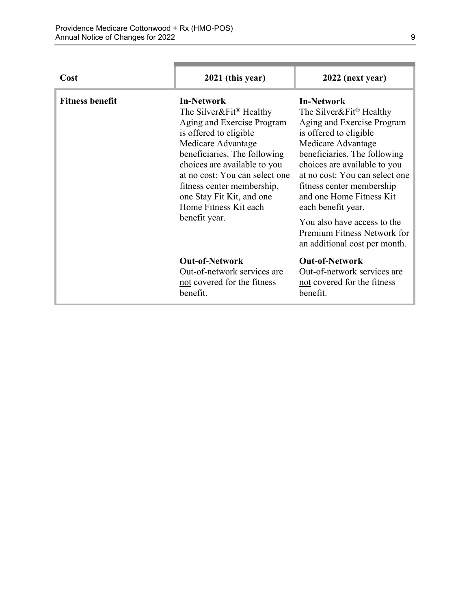٠

| Cost                   | 2021 (this year)                                                                                                                                                                                                                                                                                                                              | 2022 (next year)                                                                                                                                                                                                                                                                                                                                                                                                       |
|------------------------|-----------------------------------------------------------------------------------------------------------------------------------------------------------------------------------------------------------------------------------------------------------------------------------------------------------------------------------------------|------------------------------------------------------------------------------------------------------------------------------------------------------------------------------------------------------------------------------------------------------------------------------------------------------------------------------------------------------------------------------------------------------------------------|
| <b>Fitness benefit</b> | <b>In-Network</b><br>The Silver&Fit <sup>®</sup> Healthy<br>Aging and Exercise Program<br>is offered to eligible<br>Medicare Advantage<br>beneficiaries. The following<br>choices are available to you<br>at no cost: You can select one<br>fitness center membership,<br>one Stay Fit Kit, and one<br>Home Fitness Kit each<br>benefit year. | <b>In-Network</b><br>The Silver&Fit <sup>®</sup> Healthy<br>Aging and Exercise Program<br>is offered to eligible<br>Medicare Advantage<br>beneficiaries. The following<br>choices are available to you<br>at no cost: You can select one<br>fitness center membership<br>and one Home Fitness Kit<br>each benefit year.<br>You also have access to the<br>Premium Fitness Network for<br>an additional cost per month. |
|                        | <b>Out-of-Network</b><br>Out-of-network services are<br>not covered for the fitness<br>benefit.                                                                                                                                                                                                                                               | <b>Out-of-Network</b><br>Out-of-network services are<br>not covered for the fitness<br>benefit.                                                                                                                                                                                                                                                                                                                        |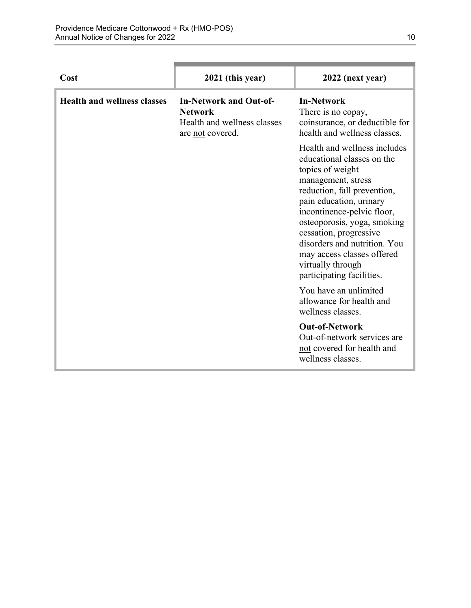**Contract Contract** 

| Cost                               | 2021 (this year)                                                                                   | 2022 (next year)                                                                                                                                                                                                                                                                                                                                                      |
|------------------------------------|----------------------------------------------------------------------------------------------------|-----------------------------------------------------------------------------------------------------------------------------------------------------------------------------------------------------------------------------------------------------------------------------------------------------------------------------------------------------------------------|
| <b>Health and wellness classes</b> | <b>In-Network and Out-of-</b><br><b>Network</b><br>Health and wellness classes<br>are not covered. | <b>In-Network</b><br>There is no copay,<br>coinsurance, or deductible for<br>health and wellness classes.                                                                                                                                                                                                                                                             |
|                                    |                                                                                                    | Health and wellness includes<br>educational classes on the<br>topics of weight<br>management, stress<br>reduction, fall prevention,<br>pain education, urinary<br>incontinence-pelvic floor,<br>osteoporosis, yoga, smoking<br>cessation, progressive<br>disorders and nutrition. You<br>may access classes offered<br>virtually through<br>participating facilities. |
|                                    |                                                                                                    | You have an unlimited<br>allowance for health and<br>wellness classes.                                                                                                                                                                                                                                                                                                |
|                                    |                                                                                                    | <b>Out-of-Network</b><br>Out-of-network services are<br>not covered for health and<br>wellness classes.                                                                                                                                                                                                                                                               |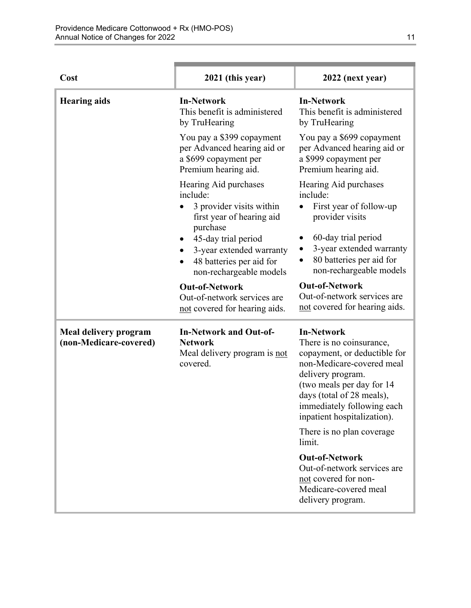| Cost                                                   | 2021 (this year)                                                                                                                                                                                                                   | 2022 (next year)                                                                                                                                                                                                                                                                     |
|--------------------------------------------------------|------------------------------------------------------------------------------------------------------------------------------------------------------------------------------------------------------------------------------------|--------------------------------------------------------------------------------------------------------------------------------------------------------------------------------------------------------------------------------------------------------------------------------------|
| <b>Hearing aids</b>                                    | <b>In-Network</b><br>This benefit is administered<br>by TruHearing                                                                                                                                                                 | <b>In-Network</b><br>This benefit is administered<br>by TruHearing                                                                                                                                                                                                                   |
|                                                        | You pay a \$399 copayment<br>per Advanced hearing aid or<br>a \$699 copayment per<br>Premium hearing aid.                                                                                                                          | You pay a \$699 copayment<br>per Advanced hearing aid or<br>a \$999 copayment per<br>Premium hearing aid.                                                                                                                                                                            |
|                                                        | Hearing Aid purchases<br>include:<br>3 provider visits within<br>first year of hearing aid<br>purchase<br>45-day trial period<br>3-year extended warranty<br>٠<br>48 batteries per aid for<br>$\bullet$<br>non-rechargeable models | Hearing Aid purchases<br>include:<br>First year of follow-up<br>provider visits<br>60-day trial period<br>3-year extended warranty<br>80 batteries per aid for<br>$\bullet$<br>non-rechargeable models<br><b>Out-of-Network</b>                                                      |
|                                                        | <b>Out-of-Network</b><br>Out-of-network services are<br>not covered for hearing aids.                                                                                                                                              | Out-of-network services are<br>not covered for hearing aids.                                                                                                                                                                                                                         |
| <b>Meal delivery program</b><br>(non-Medicare-covered) | <b>In-Network and Out-of-</b><br><b>Network</b><br>Meal delivery program is not<br>covered.                                                                                                                                        | <b>In-Network</b><br>There is no coinsurance,<br>copayment, or deductible for<br>non-Medicare-covered meal<br>delivery program.<br>(two meals per day for 14<br>days (total of 28 meals),<br>immediately following each<br>inpatient hospitalization).<br>There is no plan coverage. |
|                                                        |                                                                                                                                                                                                                                    | limit.<br><b>Out-of-Network</b><br>Out-of-network services are<br>not covered for non-<br>Medicare-covered meal<br>delivery program.                                                                                                                                                 |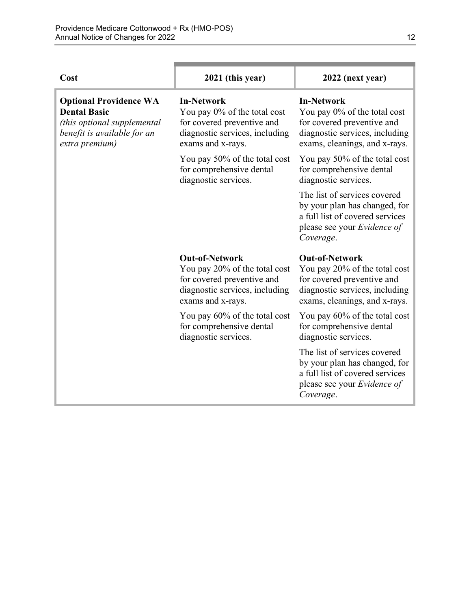| Cost                                                                                                                                 | 2021 (this year)                                                                                                                            | 2022 (next year)                                                                                                                                        |
|--------------------------------------------------------------------------------------------------------------------------------------|---------------------------------------------------------------------------------------------------------------------------------------------|---------------------------------------------------------------------------------------------------------------------------------------------------------|
| <b>Optional Providence WA</b><br><b>Dental Basic</b><br>(this optional supplemental<br>benefit is available for an<br>extra premium) | <b>In-Network</b><br>You pay 0% of the total cost<br>for covered preventive and<br>diagnostic services, including<br>exams and x-rays.      | <b>In-Network</b><br>You pay 0% of the total cost<br>for covered preventive and<br>diagnostic services, including<br>exams, cleanings, and x-rays.      |
|                                                                                                                                      | You pay 50% of the total cost<br>for comprehensive dental<br>diagnostic services.                                                           | You pay 50% of the total cost<br>for comprehensive dental<br>diagnostic services.                                                                       |
|                                                                                                                                      |                                                                                                                                             | The list of services covered<br>by your plan has changed, for<br>a full list of covered services<br>please see your Evidence of<br>Coverage.            |
|                                                                                                                                      | <b>Out-of-Network</b><br>You pay 20% of the total cost<br>for covered preventive and<br>diagnostic services, including<br>exams and x-rays. | <b>Out-of-Network</b><br>You pay 20% of the total cost<br>for covered preventive and<br>diagnostic services, including<br>exams, cleanings, and x-rays. |
|                                                                                                                                      | You pay 60% of the total cost<br>for comprehensive dental<br>diagnostic services.                                                           | You pay 60% of the total cost<br>for comprehensive dental<br>diagnostic services.                                                                       |
|                                                                                                                                      |                                                                                                                                             | The list of services covered<br>by your plan has changed, for<br>a full list of covered services<br>please see your <i>Evidence of</i><br>Coverage.     |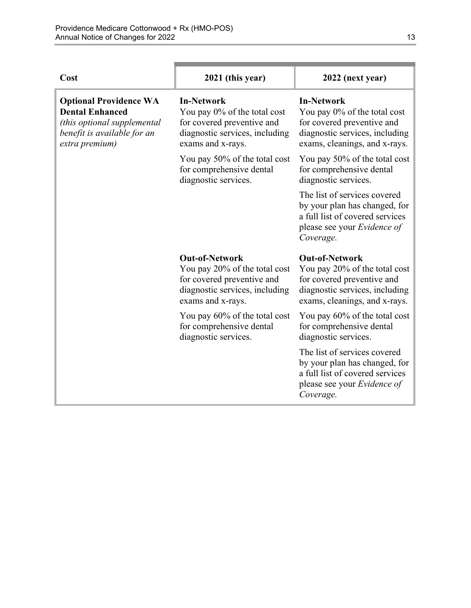| Cost                                                                                                                                    | 2021 (this year)                                                                                                                            | 2022 (next year)                                                                                                                                        |
|-----------------------------------------------------------------------------------------------------------------------------------------|---------------------------------------------------------------------------------------------------------------------------------------------|---------------------------------------------------------------------------------------------------------------------------------------------------------|
| <b>Optional Providence WA</b><br><b>Dental Enhanced</b><br>(this optional supplemental<br>benefit is available for an<br>extra premium) | <b>In-Network</b><br>You pay 0% of the total cost<br>for covered preventive and<br>diagnostic services, including<br>exams and x-rays.      | <b>In-Network</b><br>You pay 0% of the total cost<br>for covered preventive and<br>diagnostic services, including<br>exams, cleanings, and x-rays.      |
|                                                                                                                                         | You pay 50% of the total cost<br>for comprehensive dental<br>diagnostic services.                                                           | You pay 50% of the total cost<br>for comprehensive dental<br>diagnostic services.                                                                       |
|                                                                                                                                         |                                                                                                                                             | The list of services covered<br>by your plan has changed, for<br>a full list of covered services<br>please see your Evidence of<br>Coverage.            |
|                                                                                                                                         | <b>Out-of-Network</b><br>You pay 20% of the total cost<br>for covered preventive and<br>diagnostic services, including<br>exams and x-rays. | <b>Out-of-Network</b><br>You pay 20% of the total cost<br>for covered preventive and<br>diagnostic services, including<br>exams, cleanings, and x-rays. |
|                                                                                                                                         | You pay 60% of the total cost<br>for comprehensive dental<br>diagnostic services.                                                           | You pay 60% of the total cost<br>for comprehensive dental<br>diagnostic services.                                                                       |
|                                                                                                                                         |                                                                                                                                             | The list of services covered<br>by your plan has changed, for<br>a full list of covered services<br>please see your Evidence of<br>Coverage.            |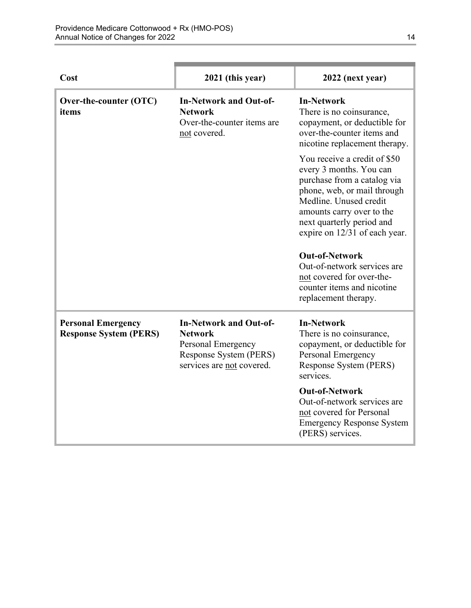| Cost                                                       | 2021 (this year)                                                                                                             | 2022 (next year)                                                                                                                                                                                                                                                                                                                                                                      |
|------------------------------------------------------------|------------------------------------------------------------------------------------------------------------------------------|---------------------------------------------------------------------------------------------------------------------------------------------------------------------------------------------------------------------------------------------------------------------------------------------------------------------------------------------------------------------------------------|
| Over-the-counter (OTC)<br>items                            | <b>In-Network and Out-of-</b><br><b>Network</b><br>Over-the-counter items are<br>not covered.                                | <b>In-Network</b><br>There is no coinsurance,<br>copayment, or deductible for<br>over-the-counter items and<br>nicotine replacement therapy.                                                                                                                                                                                                                                          |
|                                                            |                                                                                                                              | You receive a credit of \$50<br>every 3 months. You can<br>purchase from a catalog via<br>phone, web, or mail through<br>Medline. Unused credit<br>amounts carry over to the<br>next quarterly period and<br>expire on 12/31 of each year.<br><b>Out-of-Network</b><br>Out-of-network services are<br>not covered for over-the-<br>counter items and nicotine<br>replacement therapy. |
| <b>Personal Emergency</b><br><b>Response System (PERS)</b> | <b>In-Network and Out-of-</b><br><b>Network</b><br>Personal Emergency<br>Response System (PERS)<br>services are not covered. | <b>In-Network</b><br>There is no coinsurance,<br>copayment, or deductible for<br>Personal Emergency<br>Response System (PERS)<br>services.<br><b>Out-of-Network</b><br>Out-of-network services are<br>not covered for Personal<br><b>Emergency Response System</b><br>(PERS) services.                                                                                                |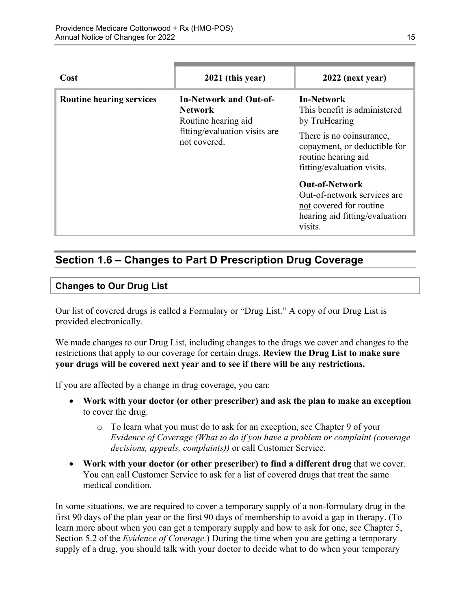| Cost                            | 2021 (this year)                                                                                                 | 2022 (next year)                                                                                                                                      |
|---------------------------------|------------------------------------------------------------------------------------------------------------------|-------------------------------------------------------------------------------------------------------------------------------------------------------|
| <b>Routine hearing services</b> | <b>In-Network and Out-of-</b><br>Network<br>Routine hearing aid<br>fitting/evaluation visits are<br>not covered. | <b>In-Network</b><br>This benefit is administered<br>by TruHearing<br>There is no coinsurance,<br>copayment, or deductible for<br>routine hearing aid |
|                                 |                                                                                                                  | fitting/evaluation visits.<br><b>Out-of-Network</b>                                                                                                   |
|                                 |                                                                                                                  | Out-of-network services are<br>not covered for routine<br>hearing aid fitting/evaluation<br>visits.                                                   |

# <span id="page-17-0"></span>**Section 1.6 – Changes to Part D Prescription Drug Coverage**

#### **Changes to Our Drug List**

Our list of covered drugs is called a Formulary or "Drug List." A copy of our Drug List is provided electronically.

We made changes to our Drug List, including changes to the drugs we cover and changes to the restrictions that apply to our coverage for certain drugs. **Review the Drug List to make sure your drugs will be covered next year and to see if there will be any restrictions.** 

If you are affected by a change in drug coverage, you can:

- **Work with your doctor (or other prescriber) and ask the plan to make an exception**  to cover the drug.
	- o To learn what you must do to ask for an exception, see Chapter 9 of your *E*v*idence of Coverage (What to do if you have a problem or complaint (coverage decisions, appeals, complaints))* or call Customer Service.
- **Work with your doctor (or other prescriber) to find a different drug** that we cover. You can call Customer Service to ask for a list of covered drugs that treat the same medical condition.

 Section 5.2 of the *Evidence of Coverage.*) During the time when you are getting a temporary In some situations, we are required to cover a temporary supply of a non-formulary drug in the first 90 days of the plan year or the first 90 days of membership to avoid a gap in therapy. (To learn more about when you can get a temporary supply and how to ask for one, see Chapter 5, supply of a drug, you should talk with your doctor to decide what to do when your temporary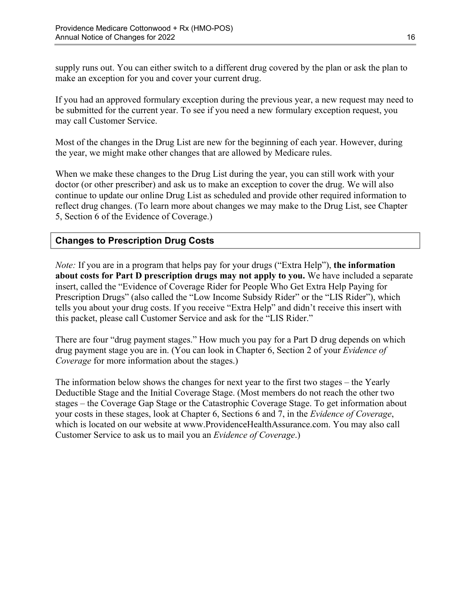supply runs out. You can either switch to a different drug covered by the plan or ask the plan to make an exception for you and cover your current drug.

If you had an approved formulary exception during the previous year, a new request may need to be submitted for the current year. To see if you need a new formulary exception request, you may call Customer Service.

Most of the changes in the Drug List are new for the beginning of each year. However, during the year, we might make other changes that are allowed by Medicare rules.

When we make these changes to the Drug List during the year, you can still work with your doctor (or other prescriber) and ask us to make an exception to cover the drug. We will also continue to update our online Drug List as scheduled and provide other required information to reflect drug changes. (To learn more about changes we may make to the Drug List, see Chapter 5, Section 6 of the Evidence of Coverage.)

### **Changes to Prescription Drug Costs**

*Note:* If you are in a program that helps pay for your drugs ("Extra Help"), **the information about costs for Part D prescription drugs may not apply to you.** We have included a separate insert, called the "Evidence of Coverage Rider for People Who Get Extra Help Paying for Prescription Drugs" (also called the "Low Income Subsidy Rider" or the "LIS Rider"), which tells you about your drug costs. If you receive "Extra Help" and didn't receive this insert with this packet, please call Customer Service and ask for the "LIS Rider."

There are four "drug payment stages." How much you pay for a Part D drug depends on which drug payment stage you are in. (You can look in Chapter 6, Section 2 of your *Evidence of Coverage* for more information about the stages.)

The information below shows the changes for next year to the first two stages – the Yearly Deductible Stage and the Initial Coverage Stage. (Most members do not reach the other two stages – the Coverage Gap Stage or the Catastrophic Coverage Stage. To get information about your costs in these stages, look at Chapter 6, Sections 6 and 7, in the *Evidence of Coverage*, which is located on our website at [www.ProvidenceHealthAssurance.com.](http://www.ProvidenceHealthAssurance.com) You may also call Customer Service to ask us to mail you an *Evidence of Coverage*.)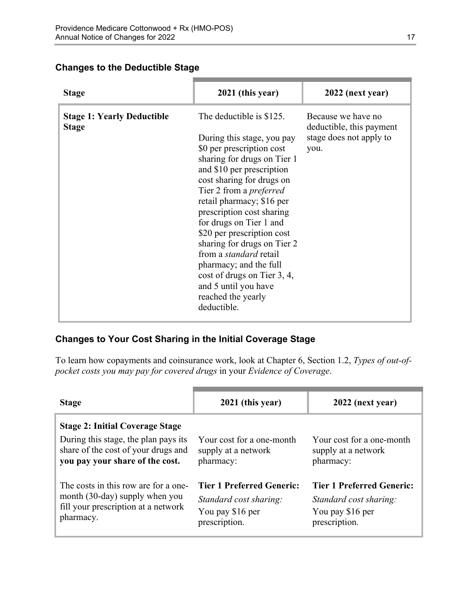### **Changes to the Deductible Stage**

| <b>Stage</b>                                      | 2021 (this year)                                                                                                                                                                                                                                                                                                                                                                                                                                                                                                        | 2022 (next year)                                                                  |
|---------------------------------------------------|-------------------------------------------------------------------------------------------------------------------------------------------------------------------------------------------------------------------------------------------------------------------------------------------------------------------------------------------------------------------------------------------------------------------------------------------------------------------------------------------------------------------------|-----------------------------------------------------------------------------------|
| <b>Stage 1: Yearly Deductible</b><br><b>Stage</b> | The deductible is \$125.<br>During this stage, you pay<br>\$0 per prescription cost<br>sharing for drugs on Tier 1<br>and \$10 per prescription<br>cost sharing for drugs on<br>Tier 2 from a <i>preferred</i><br>retail pharmacy; \$16 per<br>prescription cost sharing<br>for drugs on Tier 1 and<br>\$20 per prescription cost<br>sharing for drugs on Tier 2<br>from a <i>standard</i> retail<br>pharmacy; and the full<br>cost of drugs on Tier 3, 4,<br>and 5 until you have<br>reached the yearly<br>deductible. | Because we have no<br>deductible, this payment<br>stage does not apply to<br>you. |

### **Changes to Your Cost Sharing in the Initial Coverage Stage**

To learn how copayments and coinsurance work, look at Chapter 6, Section 1.2, *Types of out-ofpocket costs you may pay for covered drugs* in your *Evidence of Coverage*.

| <b>Stage</b>                                                                                                                                             | 2021 (this year)                                                                                | 2022 (next year)                                                                                |
|----------------------------------------------------------------------------------------------------------------------------------------------------------|-------------------------------------------------------------------------------------------------|-------------------------------------------------------------------------------------------------|
| <b>Stage 2: Initial Coverage Stage</b><br>During this stage, the plan pays its<br>share of the cost of your drugs and<br>you pay your share of the cost. | Your cost for a one-month<br>supply at a network<br>pharmacy:                                   | Your cost for a one-month<br>supply at a network<br>pharmacy:                                   |
| The costs in this row are for a one-<br>month (30-day) supply when you<br>fill your prescription at a network<br>pharmacy.                               | <b>Tier 1 Preferred Generic:</b><br>Standard cost sharing:<br>You pay \$16 per<br>prescription. | <b>Tier 1 Preferred Generic:</b><br>Standard cost sharing:<br>You pay \$16 per<br>prescription. |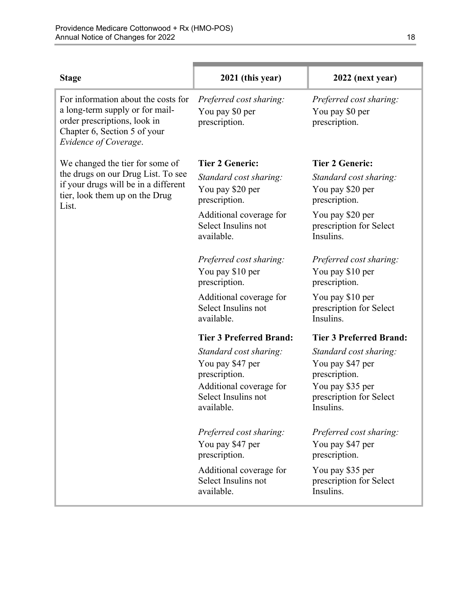| <b>Stage</b>                                                                                                                                                    | 2021 (this year)                                                                                                            | 2022 (next year)                                                                                                        |
|-----------------------------------------------------------------------------------------------------------------------------------------------------------------|-----------------------------------------------------------------------------------------------------------------------------|-------------------------------------------------------------------------------------------------------------------------|
| For information about the costs for<br>a long-term supply or for mail-<br>order prescriptions, look in<br>Chapter 6, Section 5 of your<br>Evidence of Coverage. | Preferred cost sharing:<br>You pay \$0 per<br>prescription.                                                                 | Preferred cost sharing:<br>You pay \$0 per<br>prescription.                                                             |
| We changed the tier for some of                                                                                                                                 | <b>Tier 2 Generic:</b>                                                                                                      | <b>Tier 2 Generic:</b>                                                                                                  |
| the drugs on our Drug List. To see<br>if your drugs will be in a different<br>tier, look them up on the Drug<br>List.                                           | Standard cost sharing:<br>You pay \$20 per<br>prescription.                                                                 | Standard cost sharing:<br>You pay \$20 per<br>prescription.                                                             |
|                                                                                                                                                                 | Additional coverage for<br>Select Insulins not<br>available.                                                                | You pay \$20 per<br>prescription for Select<br>Insulins.                                                                |
|                                                                                                                                                                 | Preferred cost sharing:<br>You pay \$10 per<br>prescription.                                                                | Preferred cost sharing:<br>You pay \$10 per<br>prescription.                                                            |
|                                                                                                                                                                 | Additional coverage for<br>Select Insulins not<br>available.                                                                | You pay \$10 per<br>prescription for Select<br>Insulins.                                                                |
|                                                                                                                                                                 | <b>Tier 3 Preferred Brand:</b>                                                                                              | <b>Tier 3 Preferred Brand:</b>                                                                                          |
|                                                                                                                                                                 | Standard cost sharing:<br>You pay \$47 per<br>prescription.<br>Additional coverage for<br>Select Insulins not<br>available. | Standard cost sharing:<br>You pay \$47 per<br>prescription.<br>You pay \$35 per<br>prescription for Select<br>Insulins. |
|                                                                                                                                                                 | Preferred cost sharing:<br>You pay \$47 per<br>prescription.                                                                | Preferred cost sharing:<br>You pay \$47 per<br>prescription.                                                            |
|                                                                                                                                                                 | Additional coverage for<br>Select Insulins not<br>available.                                                                | You pay \$35 per<br>prescription for Select<br>Insulins.                                                                |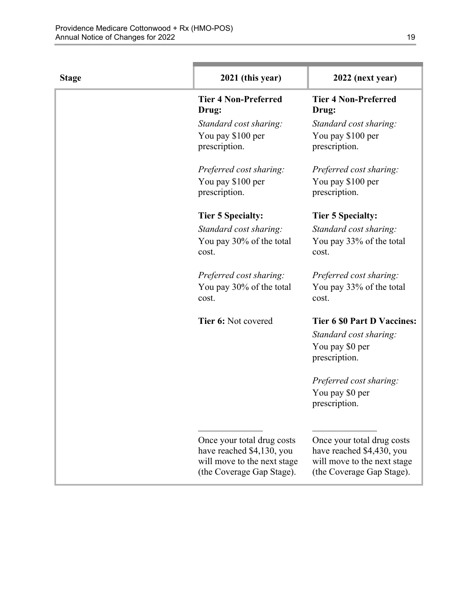| <b>Stage</b> | 2021 (this year)                                                                                                    | 2022 (next year)                                                                                                    |
|--------------|---------------------------------------------------------------------------------------------------------------------|---------------------------------------------------------------------------------------------------------------------|
|              | <b>Tier 4 Non-Preferred</b><br>Drug:                                                                                | <b>Tier 4 Non-Preferred</b><br>Drug:                                                                                |
|              | Standard cost sharing:<br>You pay \$100 per<br>prescription.                                                        | Standard cost sharing:<br>You pay \$100 per<br>prescription.                                                        |
|              | Preferred cost sharing:<br>You pay \$100 per<br>prescription.                                                       | Preferred cost sharing:<br>You pay \$100 per<br>prescription.                                                       |
|              | <b>Tier 5 Specialty:</b>                                                                                            | <b>Tier 5 Specialty:</b>                                                                                            |
|              | Standard cost sharing:<br>You pay 30% of the total<br>cost.                                                         | Standard cost sharing:<br>You pay 33% of the total<br>cost.                                                         |
|              | Preferred cost sharing:<br>You pay 30% of the total<br>cost.                                                        | Preferred cost sharing:<br>You pay 33% of the total<br>cost.                                                        |
|              | Tier 6: Not covered                                                                                                 | <b>Tier 6 \$0 Part D Vaccines:</b><br>Standard cost sharing:<br>You pay \$0 per<br>prescription.                    |
|              |                                                                                                                     | Preferred cost sharing:<br>You pay \$0 per<br>prescription.                                                         |
|              | Once your total drug costs<br>have reached \$4,130, you<br>will move to the next stage<br>(the Coverage Gap Stage). | Once your total drug costs<br>have reached \$4,430, you<br>will move to the next stage<br>(the Coverage Gap Stage). |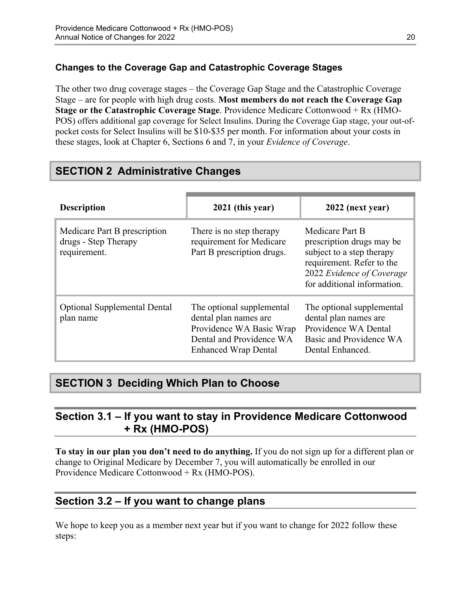### **Changes to the Coverage Gap and Catastrophic Coverage Stages**

The other two drug coverage stages – the Coverage Gap Stage and the Catastrophic Coverage Stage – are for people with high drug costs. **Most members do not reach the Coverage Gap Stage or the Catastrophic Coverage Stage**. Providence Medicare Cottonwood + Rx (HMO-POS) offers additional gap coverage for Select Insulins. During the Coverage Gap stage, your out-ofpocket costs for Select Insulins will be \$10-\$35 per month. For information about your costs in these stages, look at Chapter 6, Sections 6 and 7, in your *Evidence of Coverage*.

# <span id="page-22-0"></span>**SECTION 2 Administrative Changes**

| <b>Description</b>                                                   | 2021 (this year)                                                                                                                          | 2022 (next year)                                                                                                                                                   |
|----------------------------------------------------------------------|-------------------------------------------------------------------------------------------------------------------------------------------|--------------------------------------------------------------------------------------------------------------------------------------------------------------------|
| Medicare Part B prescription<br>drugs - Step Therapy<br>requirement. | There is no step therapy<br>requirement for Medicare<br>Part B prescription drugs.                                                        | Medicare Part B<br>prescription drugs may be<br>subject to a step therapy<br>requirement. Refer to the<br>2022 Evidence of Coverage<br>for additional information. |
| <b>Optional Supplemental Dental</b><br>plan name                     | The optional supplemental<br>dental plan names are<br>Providence WA Basic Wrap<br>Dental and Providence WA<br><b>Enhanced Wrap Dental</b> | The optional supplemental<br>dental plan names are<br>Providence WA Dental<br>Basic and Providence WA<br>Dental Enhanced.                                          |

# <span id="page-22-1"></span>**SECTION 3 Deciding Which Plan to Choose**

# <span id="page-22-2"></span>**Section 3.1 – If you want to stay in Providence Medicare Cottonwood + Rx (HMO-POS)**

**To stay in our plan you don't need to do anything.** If you do not sign up for a different plan or change to Original Medicare by December 7, you will automatically be enrolled in our Providence Medicare Cottonwood + Rx (HMO-POS).

# <span id="page-22-3"></span>**Section 3.2 – If you want to change plans**

We hope to keep you as a member next year but if you want to change for 2022 follow these steps: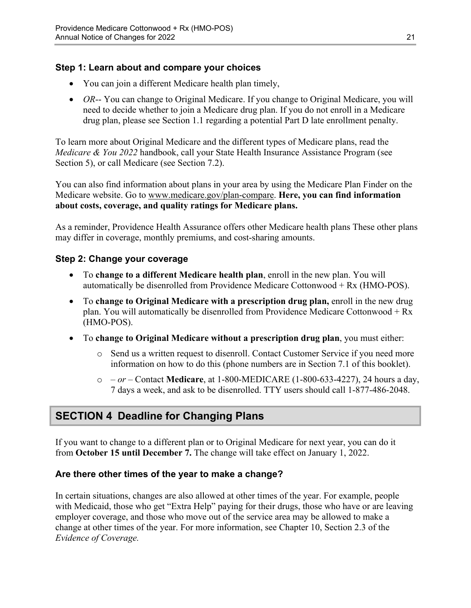### **Step 1: Learn about and compare your choices**

- You can join a different Medicare health plan timely,
- *OR*-- You can change to Original Medicare. If you change to Original Medicare, you will need to decide whether to join a Medicare drug plan. If you do not enroll in a Medicare drug plan, please see Section 1.1 regarding a potential Part D late enrollment penalty.

To learn more about Original Medicare and the different types of Medicare plans, read the *Medicare & You 2022* handbook, call your State Health Insurance Assistance Program (see Section 5), or call Medicare (see Section 7.2).

You can also find information about plans in your area by using the Medicare Plan Finder on the Medicare website. Go to [www.medicare.gov/plan-compare](http://www.medicare.gov/plan-compare). **Here, you can find information about costs, coverage, and quality ratings for Medicare plans.** 

As a reminder, Providence Health Assurance offers other Medicare health plans These other plans may differ in coverage, monthly premiums, and cost-sharing amounts.

### **Step 2: Change your coverage**

- To **change to a different Medicare health plan**, enroll in the new plan. You will automatically be disenrolled from Providence Medicare Cottonwood + Rx (HMO-POS).
- To **change to Original Medicare with a prescription drug plan,** enroll in the new drug plan. You will automatically be disenrolled from Providence Medicare Cottonwood + Rx (HMO-POS).
- To **change to Original Medicare without a prescription drug plan**, you must either:
	- $\circ$  Send us a written request to disenroll. Contact Customer Service if you need more information on how to do this (phone numbers are in Section 7.1 of this booklet).
	- o  *or –* Contact **Medicare**, at 1-800-MEDICARE (1-800-633-4227), 24 hours a day, 7 days a week, and ask to be disenrolled. TTY users should call 1-877-486-2048.

# <span id="page-23-0"></span>**SECTION 4 Deadline for Changing Plans**

If you want to change to a different plan or to Original Medicare for next year, you can do it from **October 15 until December 7.** The change will take effect on January 1, 2022.

#### **Are there other times of the year to make a change?**

In certain situations, changes are also allowed at other times of the year. For example, people with Medicaid, those who get "Extra Help" paying for their drugs, those who have or are leaving employer coverage, and those who move out of the service area may be allowed to make a change at other times of the year. For more information, see Chapter 10, Section 2.3 of the *Evidence of Coverage.*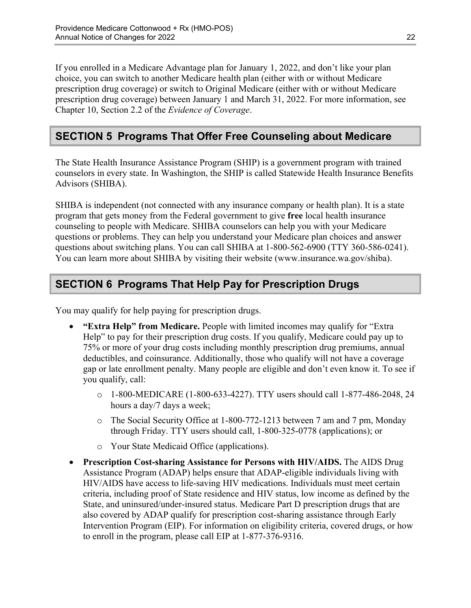Chapter 10, Section 2.2 of the *Evidence of Coverage*. If you enrolled in a Medicare Advantage plan for January 1, 2022, and don't like your plan choice, you can switch to another Medicare health plan (either with or without Medicare prescription drug coverage) or switch to Original Medicare (either with or without Medicare prescription drug coverage) between January 1 and March 31, 2022. For more information, see

# <span id="page-24-0"></span>**SECTION 5 Programs That Offer Free Counseling about Medicare**

The State Health Insurance Assistance Program (SHIP) is a government program with trained counselors in every state. In Washington, the SHIP is called Statewide Health Insurance Benefits Advisors (SHIBA).

 SHIBA is independent (not connected with any insurance company or health plan). It is a state program that gets money from the Federal government to give **free** local health insurance counseling to people with Medicare. SHIBA counselors can help you with your Medicare questions or problems. They can help you understand your Medicare plan choices and answer questions about switching plans. You can call SHIBA at 1-800-562-6900 (TTY 360-586-0241). You can learn more about SHIBA by visiting their website [\(www.insurance.wa.gov/shiba\)](http://www.insurance.wa.gov/shiba).

# <span id="page-24-1"></span>**SECTION 6 Programs That Help Pay for Prescription Drugs**

You may qualify for help paying for prescription drugs.

- **"Extra Help" from Medicare.** People with limited incomes may qualify for "Extra Help" to pay for their prescription drug costs. If you qualify, Medicare could pay up to 75% or more of your drug costs including monthly prescription drug premiums, annual deductibles, and coinsurance. Additionally, those who qualify will not have a coverage gap or late enrollment penalty. Many people are eligible and don't even know it. To see if you qualify, call:
	- $\circ$  1-800-MEDICARE (1-800-633-4227). TTY users should call 1-877-486-2048, 24 hours a day/7 days a week;
	- o The Social Security Office at 1-800-772-1213 between 7 am and 7 pm, Monday through Friday. TTY users should call, 1-800-325-0778 (applications); or
	- o Your State Medicaid Office (applications).
- **Prescription Cost-sharing Assistance for Persons with HIV/AIDS.** The AIDS Drug Assistance Program (ADAP) helps ensure that ADAP-eligible individuals living with HIV/AIDS have access to life-saving HIV medications. Individuals must meet certain criteria, including proof of State residence and HIV status, low income as defined by the State, and uninsured/under-insured status. Medicare Part D prescription drugs that are also covered by ADAP qualify for prescription cost-sharing assistance through Early Intervention Program (EIP). For information on eligibility criteria, covered drugs, or how to enroll in the program, please call EIP at 1-877-376-9316.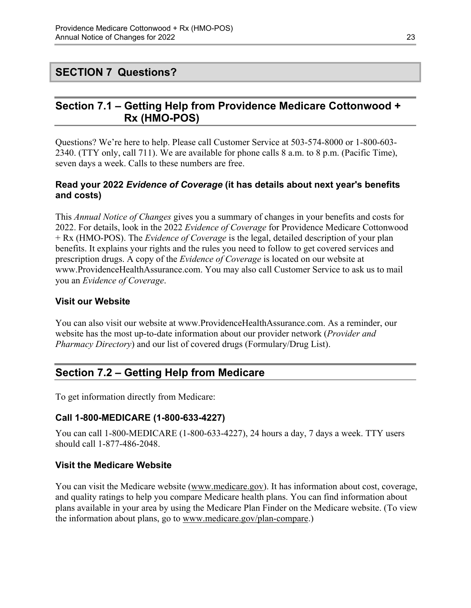# <span id="page-25-0"></span>**SECTION 7 Questions?**

# <span id="page-25-1"></span>**Section 7.1 – Getting Help from Providence Medicare Cottonwood + Rx (HMO-POS)**

Questions? We're here to help. Please call Customer Service at 503-574-8000 or 1-800-603 2340. (TTY only, call 711). We are available for phone calls 8 a.m. to 8 p.m. (Pacific Time), seven days a week. Calls to these numbers are free.

### **Read your 2022** *Evidence of Coverage* **(it has details about next year's benefits and costs)**

This *Annual Notice of Changes* gives you a summary of changes in your benefits and costs for 2022. For details, look in the 2022 *Evidence of Coverage* for Providence Medicare Cottonwood + Rx (HMO-POS). The *Evidence of Coverage* is the legal, detailed description of your plan benefits. It explains your rights and the rules you need to follow to get covered services and prescription drugs. A copy of the *Evidence of Coverage* is located on our website at [www.ProvidenceHealthAssurance.com.](http://www.ProvidenceHealthAssurance.com) You may also call Customer Service to ask us to mail you an *Evidence of Coverage*.

### **Visit our Website**

You can also visit our website at [www.ProvidenceHealthAssurance.com](http://www.ProvidenceHealthAssurance.com). As a reminder, our website has the most up-to-date information about our provider network (*Provider and Pharmacy Directory*) and our list of covered drugs (Formulary/Drug List).

# <span id="page-25-2"></span>**Section 7.2 – Getting Help from Medicare**

To get information directly from Medicare:

### **Call 1-800-MEDICARE (1-800-633-4227)**

You can call 1-800-MEDICARE (1-800-633-4227), 24 hours a day, 7 days a week. TTY users should call 1-877-486-2048.

#### **Visit the Medicare Website**

You can visit the Medicare website ([www.medicare.gov\)](http://www.medicare.gov/). It has information about cost, coverage, and quality ratings to help you compare Medicare health plans. You can find information about plans available in your area by using the Medicare Plan Finder on the Medicare website. (To view the information about plans, go to [www.medicare.gov/plan-compare.](http://www.medicare.gov/plan-compare))